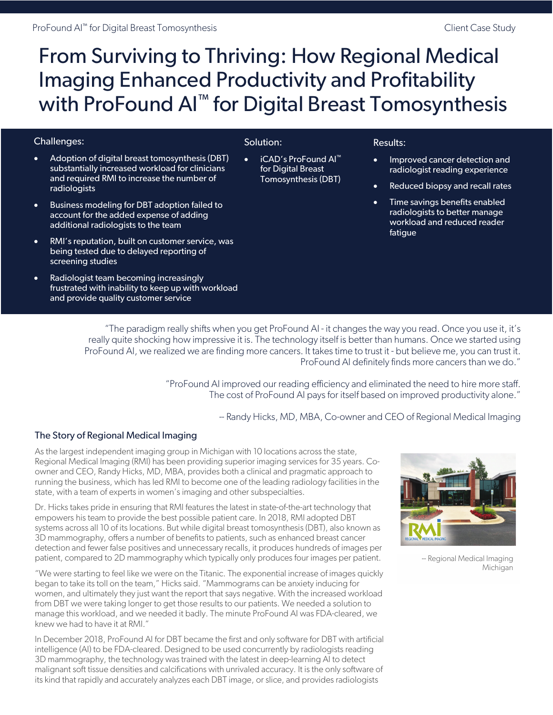# From Surviving to Thriving: How Regional Medical Imaging Enhanced Productivity and Profitability with ProFound AI<sup>™</sup> for Digital Breast Tomosynthesis

### Challenges:

- Adoption of digital breast tomosynthesis (DBT) substantially increased workload for clinicians and required RMI to increase the number of radiologists
- Business modeling for DBT adoption failed to account for the added expense of adding additional radiologists to the team
- RMI's reputation, built on customer service, was being tested due to delayed reporting of screening studies
- Radiologist team becoming increasingly frustrated with inability to keep up with workload and provide quality customer service

# Solution:

• iCAD's ProFound AI™ for Digital Breast Tomosynthesis (DBT)

#### Results:

- Improved cancer detection and radiologist reading experience
- Reduced biopsy and recall rates
- Time savings benefits enabled radiologists to better manage workload and reduced reader fatigue

"The paradigm really shifts when you get ProFound AI - it changes the way you read. Once you use it, it's really quite shocking how impressive it is. The technology itself is better than humans. Once we started using ProFound AI, we realized we are finding more cancers. It takes time to trust it - but believe me, you can trust it. ProFound AI definitely finds more cancers than we do."

> "ProFound AI improved our reading efficiency and eliminated the need to hire more staff. The cost of ProFound AI pays for itself based on improved productivity alone."

> > -- Randy Hicks, MD, MBA, Co-owner and CEO of Regional Medical Imaging

# The Story of Regional Medical Imaging

As the largest independent imaging group in Michigan with 10 locations across the state, Regional Medical Imaging (RMI) has been providing superior imaging services for 35 years. Coowner and CEO, Randy Hicks, MD, MBA, provides both a clinical and pragmatic approach to running the business, which has led RMI to become one of the leading radiology facilities in the state, with a team of experts in women's imaging and other subspecialties.

Dr. Hicks takes pride in ensuring that RMI features the latest in state-of-the-art technology that empowers his team to provide the best possible patient care. In 2018, RMI adopted DBT systems across all 10 of its locations. But while digital breast tomosynthesis (DBT), also known as 3D mammography, offers a number of benefits to patients, such as enhanced breast cancer detection and fewer false positives and unnecessary recalls, it produces hundreds of images per patient, compared to 2D mammography which typically only produces four images per patient.

"We were starting to feel like we were on the Titanic. The exponential increase of images quickly began to take its toll on the team," Hicks said. "Mammograms can be anxiety inducing for women, and ultimately they just want the report that says negative. With the increased workload from DBT we were taking longer to get those results to our patients. We needed a solution to manage this workload, and we needed it badly. The minute ProFound AI was FDA-cleared, we knew we had to have it at RMI."

In December 2018, ProFound AI for DBT became the first and only software for DBT with artificial intelligence (AI) to be FDA-cleared. Designed to be used concurrently by radiologists reading 3D mammography, the technology was trained with the latest in deep-learning AI to detect malignant soft tissue densities and calcifications with unrivaled accuracy. It is the only software of its kind that rapidly and accurately analyzes each DBT image, or slice, and provides radiologists



-- Regional Medical Imaging Michigan